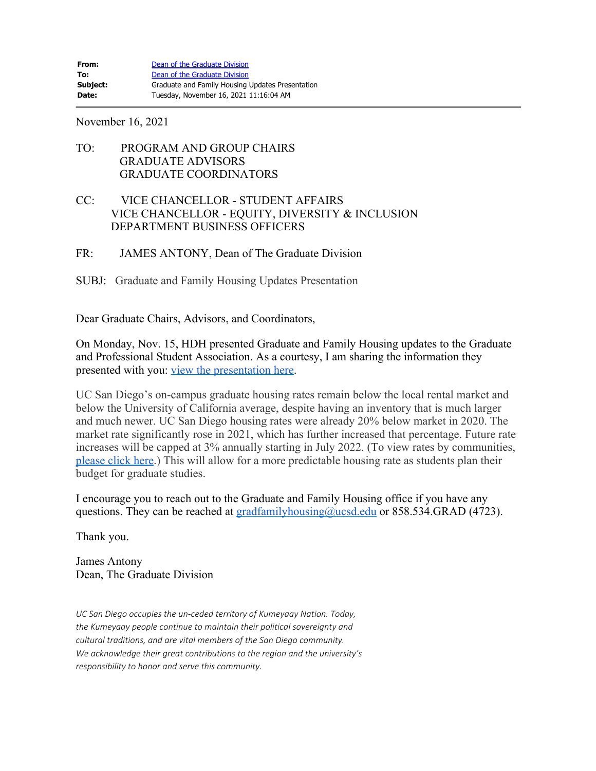November 16, 2021

## TO: PROGRAM AND GROUP CHAIRS GRADUATE ADVISORS GRADUATE COORDINATORS

## CC: VICE CHANCELLOR - STUDENT AFFAIRS VICE CHANCELLOR - EQUITY, DIVERSITY & INCLUSION DEPARTMENT BUSINESS OFFICERS

## FR: JAMES ANTONY, Dean of The Graduate Division

SUBJ: Graduate and Family Housing Updates Presentation

Dear Graduate Chairs, Advisors, and Coordinators,

On Monday, Nov. 15, HDH presented Graduate and Family Housing updates to the Graduate and Professional Student Association. As a courtesy, I am sharing the information they presented with you: [view the presentation here.](https://hdhgradfamilyhousing.ucsd.edu/_files/GFH-Updates-11-15-21.pdf)

UC San Diego's on-campus graduate housing rates remain below the local rental market and below the University of California average, despite having an inventory that is much larger and much newer. UC San Diego housing rates were already 20% below market in 2020. The market rate significantly rose in 2021, which has further increased that percentage. Future rate increases will be capped at 3% annually starting in July 2022. (To view rates by communities, [please click here.](https://hdhgradfamilyhousing.ucsd.edu/_files/2022-2023-Housing-Costs.pdf)) This will allow for a more predictable housing rate as students plan their budget for graduate studies.

I encourage you to reach out to the Graduate and Family Housing office if you have any questions. They can be reached at  $gradfamily_{\text{housing}}(Qucsd.edu)$  or 858.534.GRAD (4723).

Thank you.

James Antony Dean, The Graduate Division

*UC San Diego occupies the un-ceded territory of Kumeyaay Nation. Today, the Kumeyaay people continue to maintain their political sovereignty and cultural traditions, and are vital members of the San Diego community. We acknowledge their great contributions to the region and the university's responsibility to honor and serve this community.*